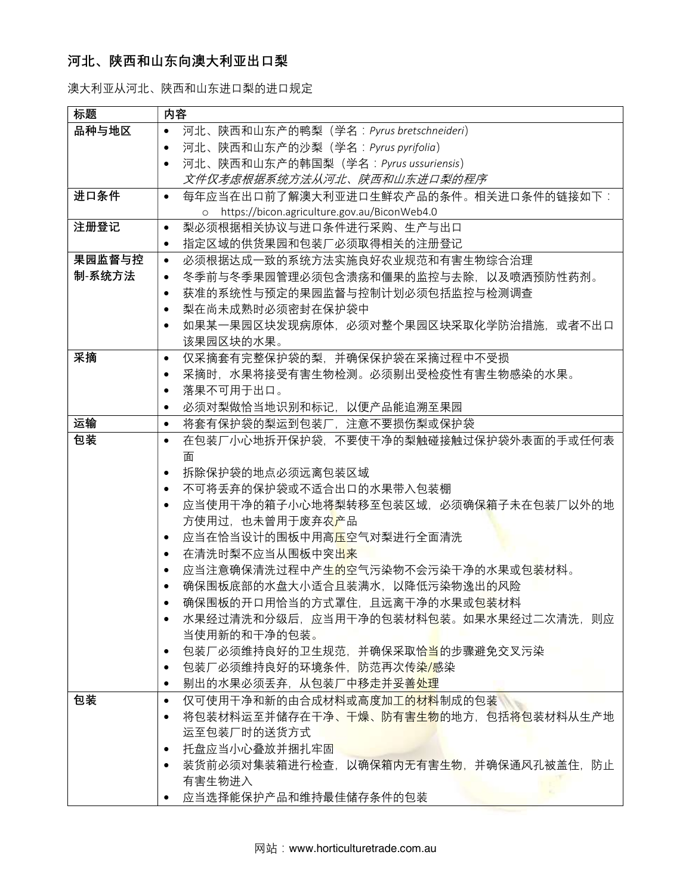## 河北、陕西和山东向澳大利亚出口梨

澳大利亚从河北、陕西和山东进口梨的进口规定

| 标题     | 内容                                                                     |
|--------|------------------------------------------------------------------------|
| 品种与地区  | 河北、陕西和山东产的鸭梨(学名: Pyrus bretschneideri)<br>$\bullet$                    |
|        | 河北、陕西和山东产的沙梨(学名: Pyrus pyrifolia)<br>$\bullet$                         |
|        | 河北、陕西和山东产的韩国梨(学名: Pyrus ussuriensis)<br>$\bullet$                      |
|        | 文件仅考虑根据系统方法从河北、陕西和山东进口梨的程序                                             |
| 进口条件   | 每年应当在出口前了解澳大利亚进口生鲜农产品的条件。相关进口条件的链接如下:<br>$\bullet$                     |
|        | o https://bicon.agriculture.gov.au/BiconWeb4.0                         |
| 注册登记   | 梨必须根据相关协议与进口条件进行采购、生产与出口<br>$\bullet$                                  |
|        | 指定区域的供货果园和包装厂必须取得相关的注册登记<br>$\bullet$                                  |
| 果园监督与控 | 必须根据达成一致的系统方法实施良好农业规范和有害生物综合治理<br>$\bullet$                            |
| 制-系统方法 | 冬季前与冬季果园管理必须包含溃疡和僵果的监控与去除,以及喷洒预防性药剂。<br>$\bullet$                      |
|        | 获准的系统性与预定的果园监督与控制计划必须包括监控与检测调查<br>$\bullet$                            |
|        | 梨在尚未成熟时必须密封在保护袋中<br>$\bullet$                                          |
|        | 如果某一果园区块发现病原体,必须对整个果园区块采取化学防治措施,或者不出口<br>$\bullet$                     |
|        | 该果园区块的水果。                                                              |
| 采摘     | 仅采摘套有完整保护袋的梨,并确保保护袋在采摘过程中不受损<br>$\bullet$                              |
|        | 采摘时,水果将接受有害生物检测。必须剔出受检疫性有害生物感染的水果。<br>$\bullet$                        |
|        | 落果不可用于出口。<br>$\bullet$                                                 |
|        | 必须对梨做恰当地识别和标记,以便产品能追溯至果园<br>$\bullet$                                  |
| 运输     | 将套有保护袋的梨运到包装厂、注意不要损伤梨或保护袋<br>$\bullet$                                 |
| 包装     | 在包装厂小心地拆开保护袋,不要使干净的梨触碰接触过保护袋外表面的手或任何表<br>$\bullet$                     |
|        | 面                                                                      |
|        | 拆除保护袋的地点必须远离包装区域<br>$\bullet$                                          |
|        | 不可将丢弃的保护袋或不适合出口的水果带入包装棚<br>$\bullet$                                   |
|        | 应当使用干净的箱子小心地将梨转移至包装区域,必须确保箱子未在包装厂以外的地<br>$\bullet$                     |
|        | 方使用过,也未曾用于废弃农产品                                                        |
|        | 应当在恰当设计的围板中用高 <mark>压</mark> 空气对梨进行全面清洗<br>$\bullet$                   |
|        | 在清洗时梨不应当从围板中突出来<br>$\bullet$                                           |
|        | .应当注意确保清洗过程中产生的空气污染物不会污染干净的水果或包装材料。<br>$\bullet$                       |
|        | 确保围板底部的水盘大小适合且装满水,以降低污染物逸出的风险<br>$\bullet$                             |
|        | 确保围板的开口用恰当的方式罩住,且远离干净的水果或包装材料<br>水果经过清洗和分级后,应当用干净的包装材料包装。如果水果经过二次清洗,则应 |
|        | ٠<br>当使用新的和干净的包装。                                                      |
|        | 包装厂必须维持良好的卫生规范,并确保采取恰当的步骤避免交叉污染<br>$\bullet$                           |
|        | 包装厂必须维持良好的环境条件,防范再次传染/感染<br>٠                                          |
|        | 剔出的水果必须丢弃, 从包装厂中移走并妥善处理<br>٠                                           |
| 包装     | 仅可使用干净和新的由合成材料或高度加工的材料制成的包装<br>$\bullet$                               |
|        | 将包装材料运至并储存在干净、干燥、防有害 <mark>生物</mark> 的地方,包括将包装材料从生产地<br>$\bullet$      |
|        | 运至包装厂时的送货方式                                                            |
|        | 托盘应当小心叠放并捆扎牢固<br>$\bullet$                                             |
|        | 装货前必须对集装箱进行检查,以确保箱内无有害生物,并确保通风孔被盖住,防止<br>٠                             |
|        | 有害生物进入                                                                 |
|        | 应当选择能保护产品和维持最佳储存条件的包装                                                  |
|        |                                                                        |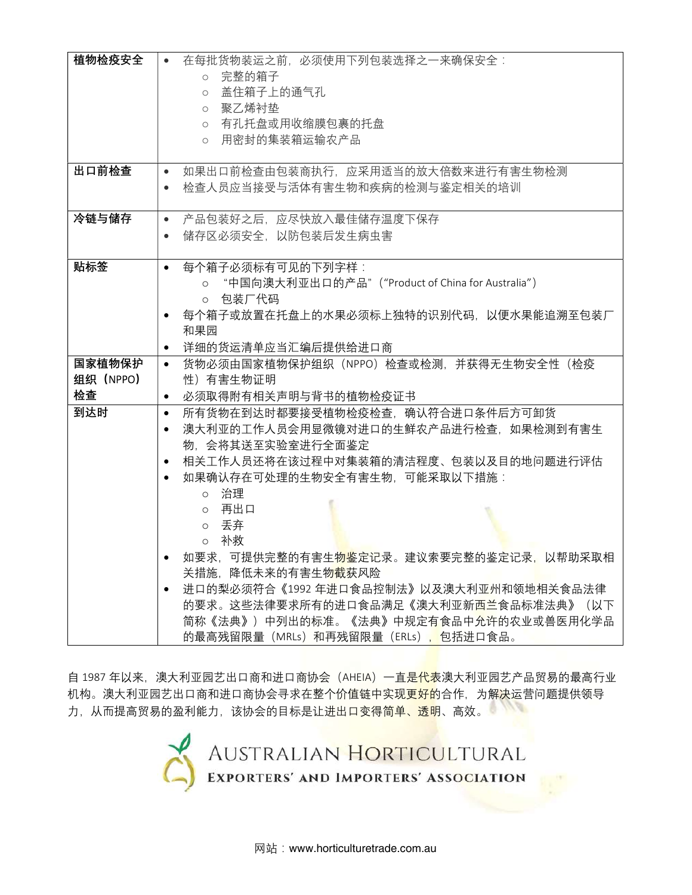| 植物检疫安全    | 在每批货物装运之前,必须使用下列包装选择之一来确保安全:                         |
|-----------|------------------------------------------------------|
|           | 完整的箱子<br>$\circ$                                     |
|           | 盖住箱子上的通气孔<br>$\circ$                                 |
|           | 。 聚乙烯衬垫                                              |
|           | ○ 有孔托盘或用收缩膜包裹的托盘                                     |
|           | ○ 用密封的集装箱运输农产品                                       |
|           |                                                      |
| 出口前检查     | 如果出口前检查由包装商执行、应采用适当的放大倍数来进行有害生物检测<br>$\bullet$       |
|           | 检查人员应当接受与活体有害生物和疾病的检测与鉴定相关的培训<br>$\bullet$           |
|           |                                                      |
| 冷链与储存     | 产品包装好之后,应尽快放入最佳储存温度下保存<br>$\bullet$                  |
|           | 储存区必须安全,以防包装后发生病虫害<br>$\bullet$                      |
|           |                                                      |
| 贴标签       | 每个箱子必须标有可见的下列字样:<br>$\bullet$                        |
|           | o "中国向澳大利亚出口的产品" ("Product of China for Australia")  |
|           | ○ 包装厂代码                                              |
|           | 每个箱子或放置在托盘上的水果必须标上独特的识别代码,以便水果能追溯至包装厂<br>٠           |
|           | 和果园                                                  |
|           | 详细的货运清单应当汇编后提供给进口商<br>$\bullet$                      |
| 国家植物保护    | 货物必须由国家植物保护组织(NPPO)检查或检测,并获得无生物安全性(检疫<br>$\bullet$   |
| 组织 (NPPO) | 性)有害生物证明                                             |
| 检查        | 必须取得附有相关声明与背书的植物检疫证书<br>$\bullet$                    |
| 到达时       | 所有货物在到达时都要接受植物检疫检查,确认符合进口条件后方可卸货<br>$\bullet$        |
|           | 澳大利亚的工作人员会用显微镜对进口的生鲜农产品进行检查,如果检测到有害生<br>$\bullet$    |
|           | 物,会将其送至实验室进行全面鉴定                                     |
|           | 相关工作人员还将在该过程中对集装箱的清洁程度、包装以及目的地问题进行评估                 |
|           | 如果确认存在可处理的生物安全有害生物,可能采取以下措施:                         |
|           | 。 治理                                                 |
|           | ○ 再出口                                                |
|           | ○ 丢弃                                                 |
|           | 。 补救                                                 |
|           | 如要求,可提供完整的有害生 <mark>物鉴</mark> 定记录。建议索要完整的鉴定记录,以帮助采取相 |
|           | 关措施,降低未来的有害生物截获风险                                    |
|           | 进口的梨必须符合《1992年进口食品控制法》以及澳大利亚州和领地相关食品法律<br>$\bullet$  |
|           | 的要求。这些法律要求所有的进口食品满足《澳大利亚新西兰食品标准法典》(以下                |
|           | 简称《法典》)中列出的标准。《法典》中规定有食品中允许的农业或兽医用化学品                |
|           | 的最高残留限量(MRLs)和再残留限量(ERLs),包括进口食品。                    |

自 1987 年以来,澳大利亚园艺出口商和进口商协会(AHEIA)一直是<mark>代表</mark>澳大利亚园艺产品贸易的最高行业 机构。澳大利亚园艺出口商和进口商协会寻求在整个价值链中实现<mark>更好的</mark>合作,为解<mark>决</mark>运营问题提供领导 力,从而提高贸易的盈利能力,该协会的目标是让进出口变得简单、透明、高效。

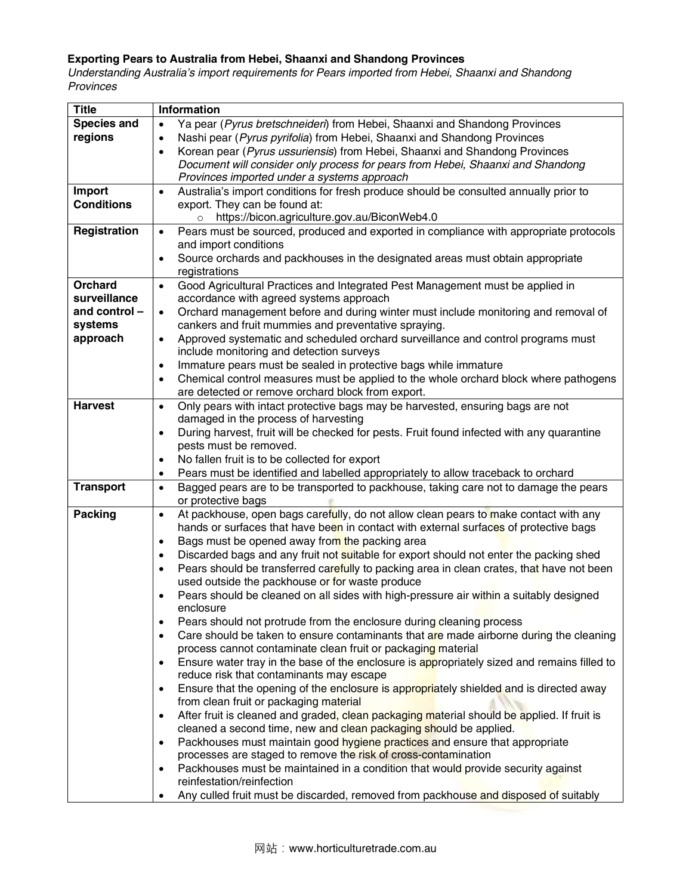## Exporting Pears to Australia from Hebei, Shaanxi and Shandong Provinces

Understanding Australia's import requirements for Pears imported from Hebei, Shaanxi and Shandong Provinces

| <b>Title</b>                                                          | <b>Information</b>                                                                                                                                                                                                                                                                                                                                                                                                                                                                                                                                                                                                                                                                                                                                                                                                                                                                                                                                                                                                                                                                                                                                                                                                                                                                                                                                                                                                                                                                                                                                       |
|-----------------------------------------------------------------------|----------------------------------------------------------------------------------------------------------------------------------------------------------------------------------------------------------------------------------------------------------------------------------------------------------------------------------------------------------------------------------------------------------------------------------------------------------------------------------------------------------------------------------------------------------------------------------------------------------------------------------------------------------------------------------------------------------------------------------------------------------------------------------------------------------------------------------------------------------------------------------------------------------------------------------------------------------------------------------------------------------------------------------------------------------------------------------------------------------------------------------------------------------------------------------------------------------------------------------------------------------------------------------------------------------------------------------------------------------------------------------------------------------------------------------------------------------------------------------------------------------------------------------------------------------|
| <b>Species and</b><br>regions                                         | Ya pear (Pyrus bretschneideri) from Hebei, Shaanxi and Shandong Provinces<br>Nashi pear (Pyrus pyrifolia) from Hebei, Shaanxi and Shandong Provinces<br>$\bullet$<br>Korean pear (Pyrus ussuriensis) from Hebei, Shaanxi and Shandong Provinces<br>$\bullet$<br>Document will consider only process for pears from Hebei, Shaanxi and Shandong<br>Provinces imported under a systems approach                                                                                                                                                                                                                                                                                                                                                                                                                                                                                                                                                                                                                                                                                                                                                                                                                                                                                                                                                                                                                                                                                                                                                            |
| Import<br><b>Conditions</b>                                           | Australia's import conditions for fresh produce should be consulted annually prior to<br>$\bullet$<br>export. They can be found at:<br>https://bicon.agriculture.gov.au/BiconWeb4.0<br>$\circ$                                                                                                                                                                                                                                                                                                                                                                                                                                                                                                                                                                                                                                                                                                                                                                                                                                                                                                                                                                                                                                                                                                                                                                                                                                                                                                                                                           |
| Registration                                                          | Pears must be sourced, produced and exported in compliance with appropriate protocols<br>$\bullet$<br>and import conditions<br>Source orchards and packhouses in the designated areas must obtain appropriate<br>registrations                                                                                                                                                                                                                                                                                                                                                                                                                                                                                                                                                                                                                                                                                                                                                                                                                                                                                                                                                                                                                                                                                                                                                                                                                                                                                                                           |
| <b>Orchard</b><br>surveillance<br>and control-<br>systems<br>approach | Good Agricultural Practices and Integrated Pest Management must be applied in<br>$\bullet$<br>accordance with agreed systems approach<br>Orchard management before and during winter must include monitoring and removal of<br>cankers and fruit mummies and preventative spraying.<br>Approved systematic and scheduled orchard surveillance and control programs must<br>include monitoring and detection surveys<br>Immature pears must be sealed in protective bags while immature<br>$\bullet$                                                                                                                                                                                                                                                                                                                                                                                                                                                                                                                                                                                                                                                                                                                                                                                                                                                                                                                                                                                                                                                      |
|                                                                       | Chemical control measures must be applied to the whole orchard block where pathogens<br>$\bullet$<br>are detected or remove orchard block from export.                                                                                                                                                                                                                                                                                                                                                                                                                                                                                                                                                                                                                                                                                                                                                                                                                                                                                                                                                                                                                                                                                                                                                                                                                                                                                                                                                                                                   |
| <b>Harvest</b>                                                        | Only pears with intact protective bags may be harvested, ensuring bags are not<br>$\bullet$<br>damaged in the process of harvesting<br>During harvest, fruit will be checked for pests. Fruit found infected with any quarantine<br>$\bullet$<br>pests must be removed.<br>No fallen fruit is to be collected for export<br>$\bullet$<br>Pears must be identified and labelled appropriately to allow traceback to orchard<br>٠                                                                                                                                                                                                                                                                                                                                                                                                                                                                                                                                                                                                                                                                                                                                                                                                                                                                                                                                                                                                                                                                                                                          |
| <b>Transport</b>                                                      | Bagged pears are to be transported to packhouse, taking care not to damage the pears<br>$\bullet$<br>or protective bags                                                                                                                                                                                                                                                                                                                                                                                                                                                                                                                                                                                                                                                                                                                                                                                                                                                                                                                                                                                                                                                                                                                                                                                                                                                                                                                                                                                                                                  |
| <b>Packing</b>                                                        | At packhouse, open bags carefully, do not allow clean pears to make contact with any<br>$\bullet$<br>hands or surfaces that have been in contact with external surfaces of protective bags<br>Bags must be opened away from the packing area<br>$\bullet$<br>Discarded bags and any fruit not suitable for export should not enter the packing shed<br>$\bullet$<br>Pears should be transferred carefully to packing area in clean crates, that have not been<br>$\bullet$<br>used outside the packhouse or for waste produce<br>Pears should be cleaned on all sides with high-pressure air within a suitably designed<br>enclosure<br>Pears should not protrude from the enclosure during cleaning process<br>$\bullet$<br>Care should be taken to ensure contaminants that are made airborne during the cleaning<br>$\bullet$<br>process cannot contaminate clean fruit or packaging material<br>Ensure water tray in the base of the enclosure is appropriately sized and remains filled to<br>$\bullet$<br>reduce risk that contaminants may escape<br>Ensure that the opening of the enclosure is appropriately shielded and is directed away<br>$\bullet$<br>from clean fruit or packaging material<br>After fruit is cleaned and graded, clean packaging material should be applied. If fruit is<br>$\bullet$<br>cleaned a second time, new and clean packaging should be applied.<br>Packhouses must maintain good hygiene practices and ensure that appropriate<br>$\bullet$<br>processes are staged to remove the risk of cross-contamination |
|                                                                       | Packhouses must be maintained in a condition that would provide security against<br>$\bullet$<br>reinfestation/reinfection<br>Any culled fruit must be discarded, removed from packhouse and disposed of suitably<br>٠                                                                                                                                                                                                                                                                                                                                                                                                                                                                                                                                                                                                                                                                                                                                                                                                                                                                                                                                                                                                                                                                                                                                                                                                                                                                                                                                   |